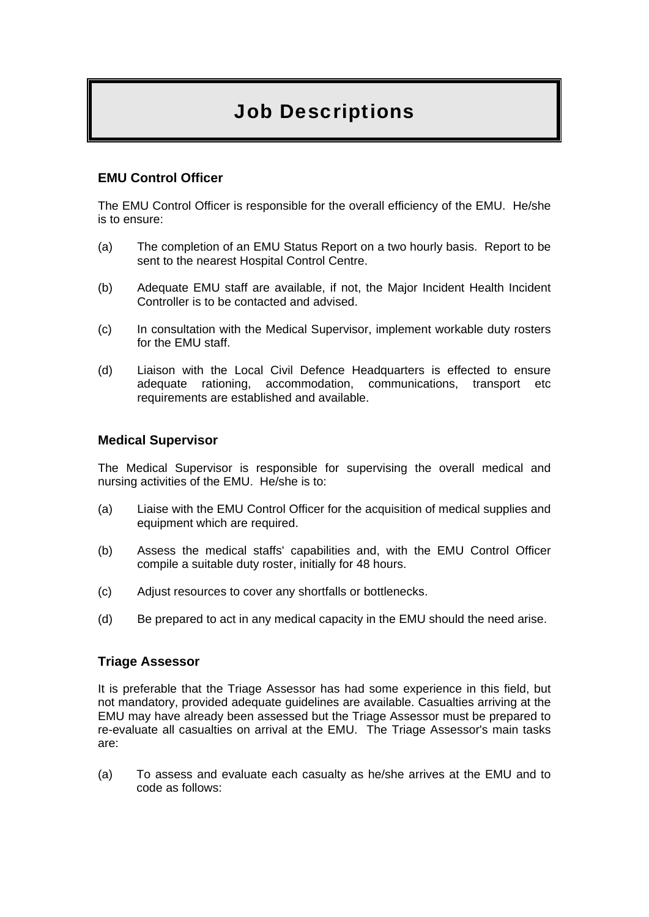# Job Descriptions

## **EMU Control Officer**

The EMU Control Officer is responsible for the overall efficiency of the EMU. He/she is to ensure:

- (a) The completion of an EMU Status Report on a two hourly basis. Report to be sent to the nearest Hospital Control Centre.
- (b) Adequate EMU staff are available, if not, the Major Incident Health Incident Controller is to be contacted and advised.
- (c) In consultation with the Medical Supervisor, implement workable duty rosters for the EMU staff.
- (d) Liaison with the Local Civil Defence Headquarters is effected to ensure adequate rationing, accommodation, communications, transport etc requirements are established and available.

#### **Medical Supervisor**

The Medical Supervisor is responsible for supervising the overall medical and nursing activities of the EMU. He/she is to:

- (a) Liaise with the EMU Control Officer for the acquisition of medical supplies and equipment which are required.
- (b) Assess the medical staffs' capabilities and, with the EMU Control Officer compile a suitable duty roster, initially for 48 hours.
- (c) Adjust resources to cover any shortfalls or bottlenecks.
- (d) Be prepared to act in any medical capacity in the EMU should the need arise.

#### **Triage Assessor**

It is preferable that the Triage Assessor has had some experience in this field, but not mandatory, provided adequate guidelines are available. Casualties arriving at the EMU may have already been assessed but the Triage Assessor must be prepared to re-evaluate all casualties on arrival at the EMU. The Triage Assessor's main tasks are:

(a) To assess and evaluate each casualty as he/she arrives at the EMU and to code as follows: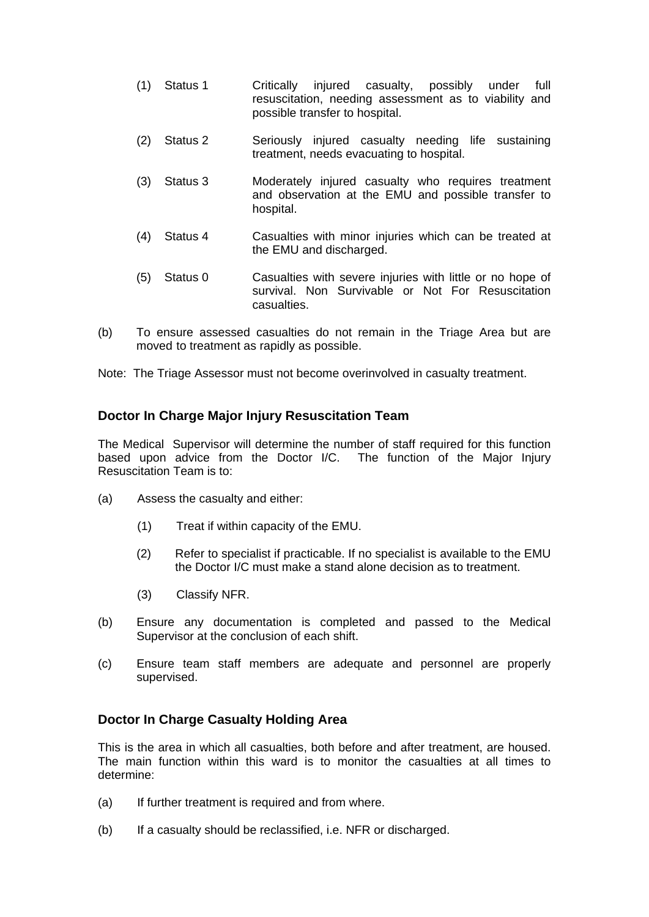- (1) Status 1 Critically injured casualty, possibly under full resuscitation, needing assessment as to viability and possible transfer to hospital.
- (2) Status 2 Seriously injured casualty needing life sustaining treatment, needs evacuating to hospital.
- (3) Status 3 Moderately injured casualty who requires treatment and observation at the EMU and possible transfer to hospital.
- (4) Status 4 Casualties with minor injuries which can be treated at the EMU and discharged.
- (5) Status 0 Casualties with severe injuries with little or no hope of survival. Non Survivable or Not For Resuscitation casualties.
- (b) To ensure assessed casualties do not remain in the Triage Area but are moved to treatment as rapidly as possible.

Note: The Triage Assessor must not become overinvolved in casualty treatment.

### **Doctor In Charge Major Injury Resuscitation Team**

The Medical Supervisor will determine the number of staff required for this function based upon advice from the Doctor I/C. The function of the Major Injury Resuscitation Team is to:

- (a) Assess the casualty and either:
	- (1) Treat if within capacity of the EMU.
	- (2) Refer to specialist if practicable. If no specialist is available to the EMU the Doctor I/C must make a stand alone decision as to treatment.
	- (3) Classify NFR.
- (b) Ensure any documentation is completed and passed to the Medical Supervisor at the conclusion of each shift.
- (c) Ensure team staff members are adequate and personnel are properly supervised.

#### **Doctor In Charge Casualty Holding Area**

This is the area in which all casualties, both before and after treatment, are housed. The main function within this ward is to monitor the casualties at all times to determine:

- (a) If further treatment is required and from where.
- (b) If a casualty should be reclassified, i.e. NFR or discharged.